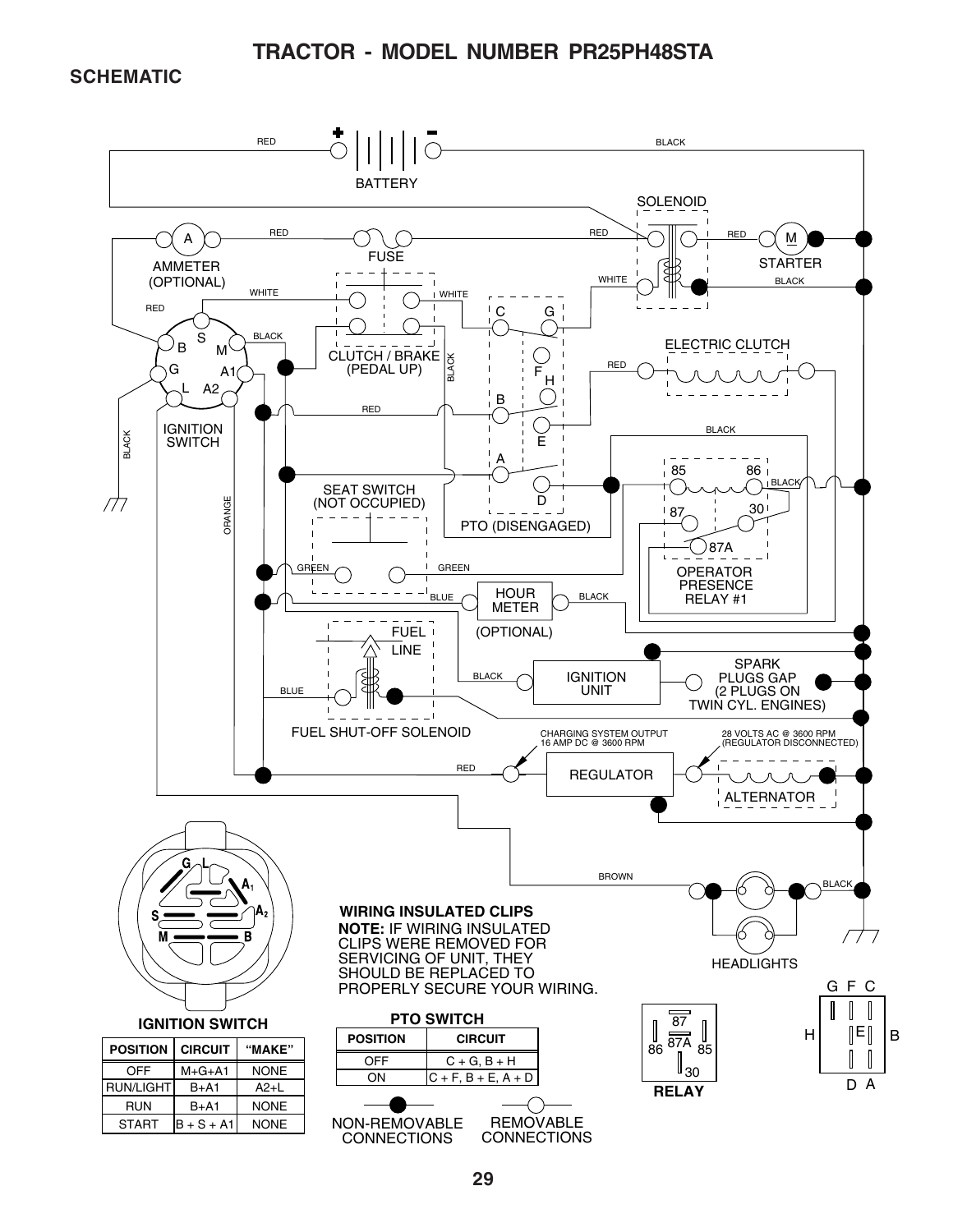#### **TRACTOR - MODEL NUMBER PR25PH48STA**

#### **SCHEMATIC**

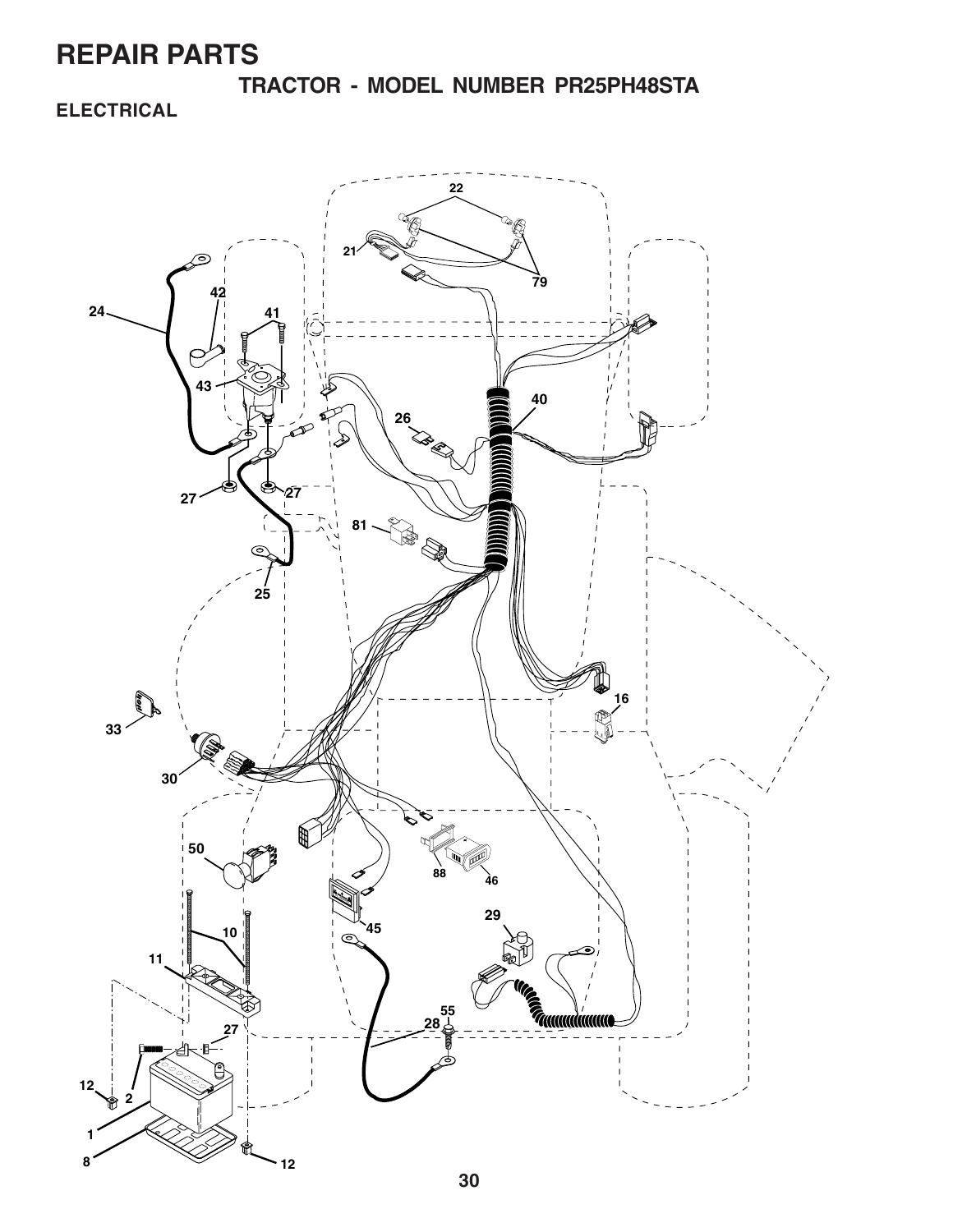**TRACTOR - MODEL NUMBER PR25PH48STA**

### **ELECTRICAL**

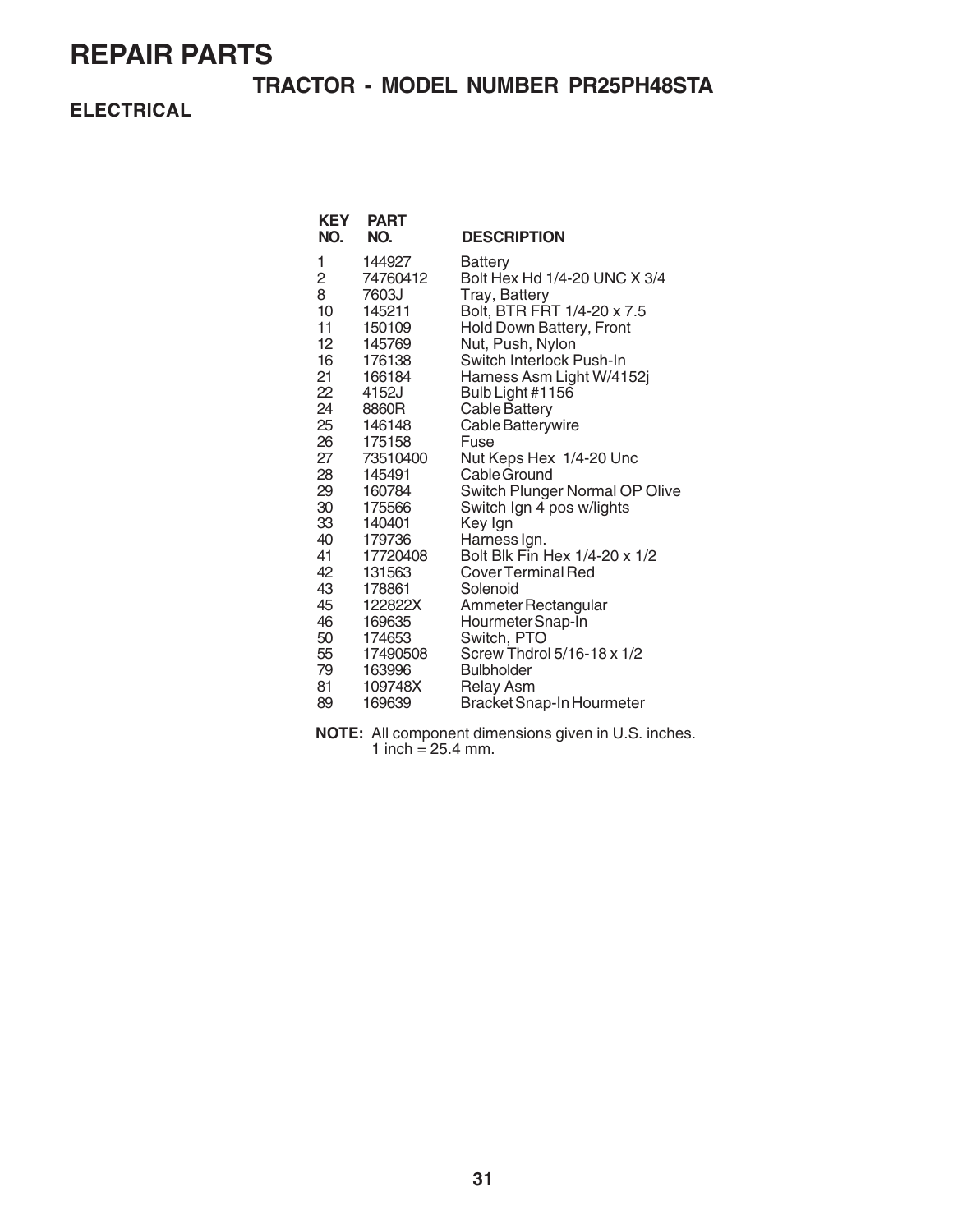### **TRACTOR - MODEL NUMBER PR25PH48STA**

**ELECTRICAL**

| <b>KEY</b><br>NO. | <b>PART</b><br>NO. | <b>DESCRIPTION</b>                      |
|-------------------|--------------------|-----------------------------------------|
| 1                 | 144927             | Battery                                 |
| 2                 | 74760412           | Bolt Hex Hd 1/4-20 UNC X 3/4            |
| 8                 | 7603J              | Tray, Battery                           |
| 10                | 145211             | Bolt, BTR FRT 1/4-20 x 7.5              |
| 11                | 150109             | <b>Hold Down Battery, Front</b>         |
| 12                | 145769             | Nut, Push, Nylon                        |
| 16                | 176138             | Switch Interlock Push-In                |
| 21                | 166184             | Harness Asm Light W/4152j               |
| 22                | 4152J              | Bulb Light #1156                        |
| 24                | 8860R              | <b>Cable Battery</b>                    |
| 25                | 146148             | Cable Batterywire                       |
| 26<br>27          | 175158<br>73510400 | Fuse                                    |
| 28                | 145491             | Nut Keps Hex 1/4-20 Unc<br>Cable Ground |
| 29                | 160784             | Switch Plunger Normal OP Olive          |
| 30                | 175566             | Switch Ign 4 pos w/lights               |
| 33                | 140401             | Key Ign                                 |
| 40                | 179736             | Harness Ign.                            |
| 41                | 17720408           | Bolt Blk Fin Hex 1/4-20 x 1/2           |
| 42                | 131563             | Cover Terminal Red                      |
| 43                | 178861             | Solenoid                                |
| 45                | 122822X            | Ammeter Rectangular                     |
| 46                | 169635             | Hourmeter Snap-In                       |
| 50                | 174653             | Switch, PTO                             |
| 55                | 17490508           | Screw Thdrol 5/16-18 x 1/2              |
| 79                | 163996             | <b>Bulbholder</b>                       |
| 81                | 109748X            | <b>Relay Asm</b>                        |
| 89                | 169639             | <b>Bracket Snap-In Hourmeter</b>        |

**NOTE:** All component dimensions given in U.S. inches. 1 inch =  $25.4$  mm.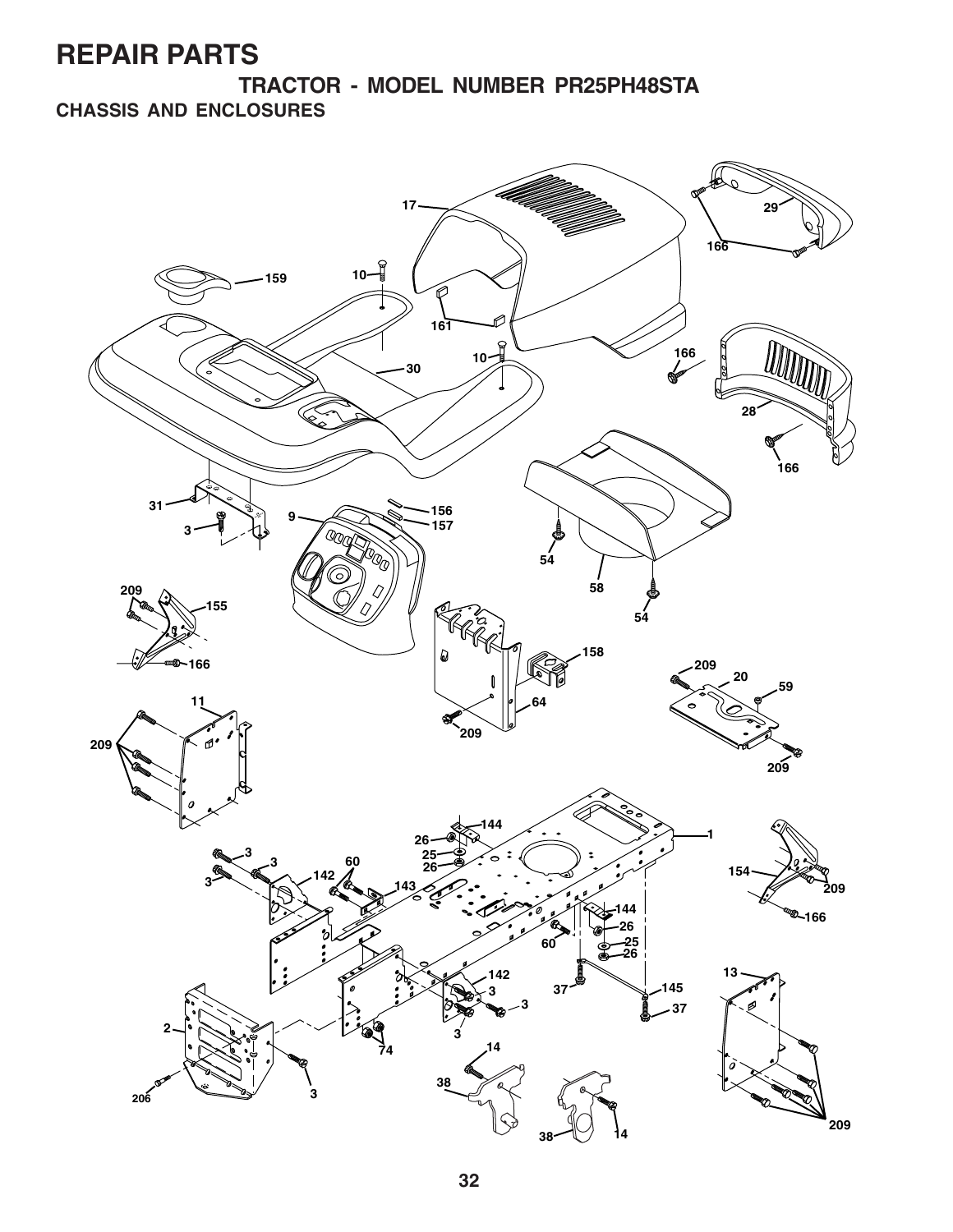**TRACTOR - MODEL NUMBER PR25PH48STA CHASSIS AND ENCLOSURES**

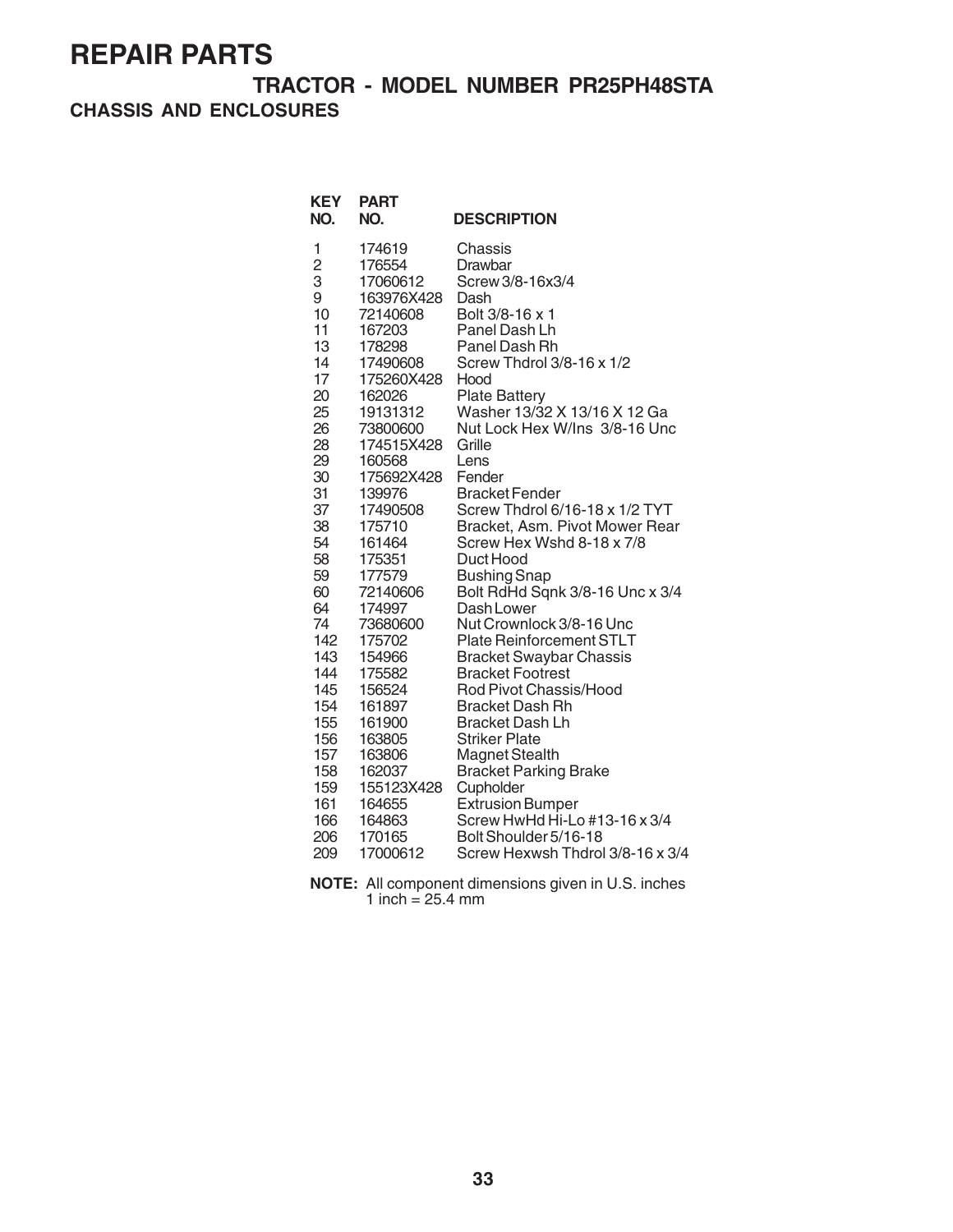### **TRACTOR - MODEL NUMBER PR25PH48STA CHASSIS AND ENCLOSURES**

| <b>KEY</b><br>NO.                                                                                                                                                                               | <b>PART</b><br>NO.                                                                                                                                                                                                                                                                                                                       | <b>DESCRIPTION</b>                                                                                                                                                                                                                                                                                                                                                                                                                                                                                                                                                                                                                                                                     |
|-------------------------------------------------------------------------------------------------------------------------------------------------------------------------------------------------|------------------------------------------------------------------------------------------------------------------------------------------------------------------------------------------------------------------------------------------------------------------------------------------------------------------------------------------|----------------------------------------------------------------------------------------------------------------------------------------------------------------------------------------------------------------------------------------------------------------------------------------------------------------------------------------------------------------------------------------------------------------------------------------------------------------------------------------------------------------------------------------------------------------------------------------------------------------------------------------------------------------------------------------|
| 1<br>$\overline{c}$<br>3<br>9<br>10<br>11<br>13<br>14<br>17<br>20<br>25<br>26<br>28<br>29<br>30<br>31<br>37<br>38<br>54<br>58<br>59<br>60<br>64<br>74<br>142<br>143<br>144<br>145<br>154<br>155 | 174619<br>176554<br>17060612<br>163976X428<br>72140608<br>167203<br>178298<br>17490608<br>175260X428<br>162026<br>19131312<br>73800600<br>174515X428<br>160568<br>175692X428<br>139976<br>17490508<br>175710<br>161464<br>175351<br>177579<br>72140606<br>174997<br>73680600<br>175702<br>154966<br>175582<br>156524<br>161897<br>161900 | Chassis<br>Drawbar<br>Screw 3/8-16x3/4<br>Dash<br>Bolt 3/8-16 x 1<br>Panel Dash Lh<br>Panel Dash Rh<br>Screw Thdrol 3/8-16 x 1/2<br>Hood<br><b>Plate Battery</b><br>Washer 13/32 X 13/16 X 12 Ga<br>Nut Lock Hex W/Ins 3/8-16 Unc<br>Grille<br>Lens<br>Fender<br><b>Bracket Fender</b><br>Screw Thdrol 6/16-18 x 1/2 TYT<br>Bracket, Asm. Pivot Mower Rear<br>Screw Hex Wshd 8-18 x 7/8<br>Duct Hood<br><b>Bushing Snap</b><br>Bolt RdHd Sqnk 3/8-16 Unc x 3/4<br>Dash Lower<br>Nut Crownlock 3/8-16 Unc<br><b>Plate Reinforcement STLT</b><br><b>Bracket Swaybar Chassis</b><br><b>Bracket Footrest</b><br>Rod Pivot Chassis/Hood<br><b>Bracket Dash Rh</b><br><b>Bracket Dash Lh</b> |
| 156                                                                                                                                                                                             | 163805                                                                                                                                                                                                                                                                                                                                   | <b>Striker Plate</b>                                                                                                                                                                                                                                                                                                                                                                                                                                                                                                                                                                                                                                                                   |
| 157                                                                                                                                                                                             | 163806                                                                                                                                                                                                                                                                                                                                   | Magnet Stealth                                                                                                                                                                                                                                                                                                                                                                                                                                                                                                                                                                                                                                                                         |
| 158<br>159                                                                                                                                                                                      | 162037<br>155123X428                                                                                                                                                                                                                                                                                                                     | <b>Bracket Parking Brake</b><br>Cupholder                                                                                                                                                                                                                                                                                                                                                                                                                                                                                                                                                                                                                                              |
| 161                                                                                                                                                                                             | 164655                                                                                                                                                                                                                                                                                                                                   | <b>Extrusion Bumper</b>                                                                                                                                                                                                                                                                                                                                                                                                                                                                                                                                                                                                                                                                |
| 166                                                                                                                                                                                             | 164863                                                                                                                                                                                                                                                                                                                                   | Screw HwHd Hi-Lo #13-16 x 3/4                                                                                                                                                                                                                                                                                                                                                                                                                                                                                                                                                                                                                                                          |
| 206                                                                                                                                                                                             | 170165                                                                                                                                                                                                                                                                                                                                   | Bolt Shoulder 5/16-18                                                                                                                                                                                                                                                                                                                                                                                                                                                                                                                                                                                                                                                                  |
| 209                                                                                                                                                                                             | 17000612                                                                                                                                                                                                                                                                                                                                 | Screw Hexwsh Thdrol 3/8-16 x 3/4                                                                                                                                                                                                                                                                                                                                                                                                                                                                                                                                                                                                                                                       |

**NOTE:** All component dimensions given in U.S. inches 1 inch =  $25.4 \text{ mm}$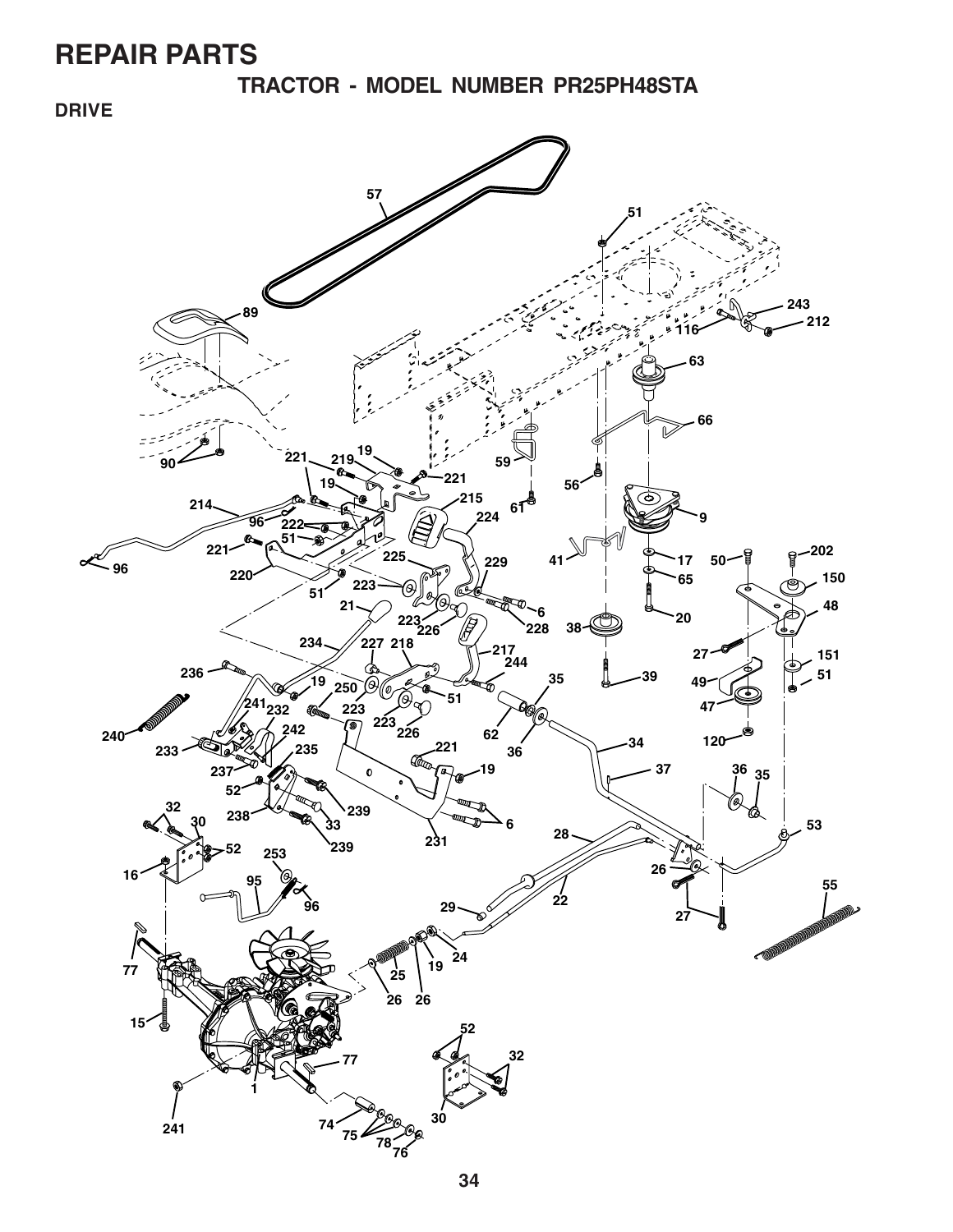**TRACTOR - MODEL NUMBER PR25PH48STA**

### **DRIVE**

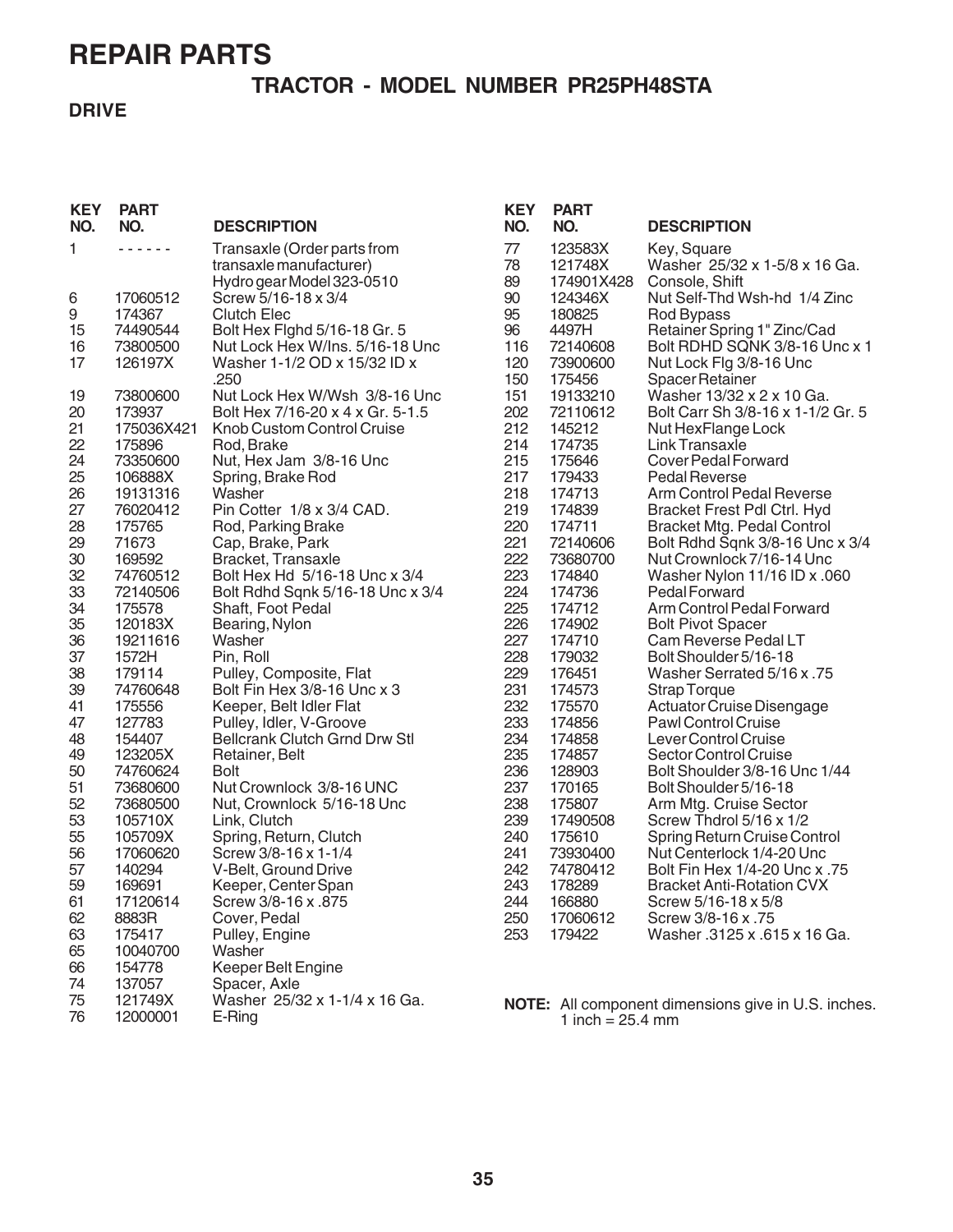### **TRACTOR - MODEL NUMBER PR25PH48STA**

### **DRIVE**

| <b>KEY</b><br>NO. | <b>PART</b><br>NO. | <b>DESCRIPTION</b>                                     | <b>KEY</b><br>NO. | <b>PART</b><br>NO. | <b>DESCRIPTION</b>                                         |
|-------------------|--------------------|--------------------------------------------------------|-------------------|--------------------|------------------------------------------------------------|
| 1                 | .                  | Transaxle (Order parts from<br>transaxle manufacturer) | 77<br>78          | 123583X<br>121748X | Key, Square<br>Washer 25/32 x 1-5/8 x 16 Ga.               |
|                   |                    | Hydro gear Model 323-0510<br>Screw 5/16-18 x 3/4       | 89<br>90          | 174901X428         | Console, Shift                                             |
| 6<br>9            | 17060512<br>174367 | <b>Clutch Elec</b>                                     | 95                | 124346X<br>180825  | Nut Self-Thd Wsh-hd 1/4 Zinc<br>Rod Bypass                 |
| 15                | 74490544           | Bolt Hex Fighd 5/16-18 Gr. 5                           | 96                | 4497H              | Retainer Spring 1" Zinc/Cad                                |
| 16                | 73800500           | Nut Lock Hex W/Ins. 5/16-18 Unc                        | 116               | 72140608           | Bolt RDHD SQNK 3/8-16 Unc x 1                              |
| 17                | 126197X            | Washer 1-1/2 OD x 15/32 ID x                           | 120               | 73900600           | Nut Lock Flg 3/8-16 Unc                                    |
|                   |                    | .250                                                   | 150               | 175456             | <b>Spacer Retainer</b>                                     |
| 19                | 73800600           | Nut Lock Hex W/Wsh 3/8-16 Unc                          | 151               | 19133210           | Washer 13/32 x 2 x 10 Ga.                                  |
| 20                | 173937             | Bolt Hex 7/16-20 x 4 x Gr. 5-1.5                       | 202               | 72110612           | Bolt Carr Sh 3/8-16 x 1-1/2 Gr. 5                          |
| 21                | 175036X421         | Knob Custom Control Cruise                             | 212               | 145212             | Nut HexFlange Lock                                         |
| 22                | 175896             | Rod, Brake                                             | 214               | 174735             | Link Transaxle                                             |
| 24                | 73350600           | Nut, Hex Jam 3/8-16 Unc                                | 215               | 175646             | Cover Pedal Forward                                        |
| 25                | 106888X            | Spring, Brake Rod                                      | 217               | 179433             | Pedal Reverse                                              |
| 26                | 19131316           | Washer                                                 | 218               | 174713             | Arm Control Pedal Reverse                                  |
| 27                | 76020412           | Pin Cotter 1/8 x 3/4 CAD.                              | 219               | 174839             | Bracket Frest Pdl Ctrl. Hyd                                |
| 28                | 175765             | Rod, Parking Brake                                     | 220               | 174711             | <b>Bracket Mtg. Pedal Control</b>                          |
| 29                | 71673              | Cap, Brake, Park                                       | 221               | 72140606           | Bolt Rdhd Sqnk 3/8-16 Unc x 3/4                            |
| 30                | 169592             | Bracket, Transaxle                                     | 222               | 73680700           | Nut Crownlock 7/16-14 Unc                                  |
| 32                | 74760512           | Bolt Hex Hd 5/16-18 Unc x 3/4                          | 223               | 174840             | Washer Nylon 11/16 ID x .060                               |
| 33                | 72140506           | Bolt Rdhd Sqnk 5/16-18 Unc x 3/4                       | 224               | 174736             | Pedal Forward                                              |
| 34                | 175578             | Shaft, Foot Pedal                                      | 225               | 174712             | Arm Control Pedal Forward                                  |
| 35                | 120183X            | Bearing, Nylon                                         | 226               | 174902             | <b>Bolt Pivot Spacer</b>                                   |
| 36                | 19211616           | Washer                                                 | 227               | 174710             | Cam Reverse Pedal LT                                       |
| 37                | 1572H              | Pin, Roll                                              | 228               | 179032             | Bolt Shoulder 5/16-18                                      |
| 38                | 179114             | Pulley, Composite, Flat                                | 229               | 176451             | Washer Serrated 5/16 x .75                                 |
| 39                | 74760648           | Bolt Fin Hex 3/8-16 Unc x 3                            | 231               | 174573             | <b>Strap Torque</b>                                        |
| 41                | 175556             | Keeper, Belt Idler Flat                                | 232               | 175570             | Actuator Cruise Disengage                                  |
| 47                | 127783             | Pulley, Idler, V-Groove                                | 233               | 174856             | Pawl Control Cruise                                        |
| 48                | 154407             | Bellcrank Clutch Grnd Drw Stl                          | 234               | 174858             | Lever Control Cruise                                       |
| 49                | 123205X            | Retainer, Belt                                         | 235               | 174857             | <b>Sector Control Cruise</b>                               |
| 50                | 74760624           | <b>Bolt</b>                                            | 236               | 128903             | Bolt Shoulder 3/8-16 Unc 1/44                              |
| 51                | 73680600           | Nut Crownlock 3/8-16 UNC                               | 237               | 170165             | Bolt Shoulder 5/16-18                                      |
| 52                | 73680500           | Nut, Crownlock 5/16-18 Unc                             | 238               | 175807             | Arm Mtg. Cruise Sector                                     |
| 53                | 105710X            | Link, Clutch                                           | 239               | 17490508           | Screw Thdrol 5/16 x 1/2                                    |
| 55                | 105709X            | Spring, Return, Clutch                                 | 240               | 175610             | Spring Return Cruise Control                               |
| 56                | 17060620           | Screw 3/8-16 x 1-1/4                                   | 241<br>242        | 73930400           | Nut Centerlock 1/4-20 Unc<br>Bolt Fin Hex 1/4-20 Unc x .75 |
| 57<br>59          | 140294             | V-Belt, Ground Drive                                   | 243               | 74780412<br>178289 |                                                            |
|                   | 169691<br>17120614 | Keeper, Center Span                                    |                   | 166880             | <b>Bracket Anti-Rotation CVX</b><br>Screw 5/16-18 x 5/8    |
| 61<br>62          | 8883R              | Screw 3/8-16 x .875                                    | 244<br>250        | 17060612           | Screw 3/8-16 x .75                                         |
| 63                | 175417             | Cover, Pedal<br>Pulley, Engine                         | 253               | 179422             | Washer .3125 x .615 x 16 Ga.                               |
| 65                | 10040700           | Washer                                                 |                   |                    |                                                            |
| 66                | 154778             | Keeper Belt Engine                                     |                   |                    |                                                            |
| 74                | 137057             | Spacer, Axle                                           |                   |                    |                                                            |
| 75                | 121749X            | Washer 25/32 x 1-1/4 x 16 Ga.                          |                   |                    |                                                            |
| 76                | 12000001           | E-Ring                                                 |                   | 1 inch = $25.4$ mm | NOTE: All component dimensions give in U.S. inches.        |
|                   |                    |                                                        |                   |                    |                                                            |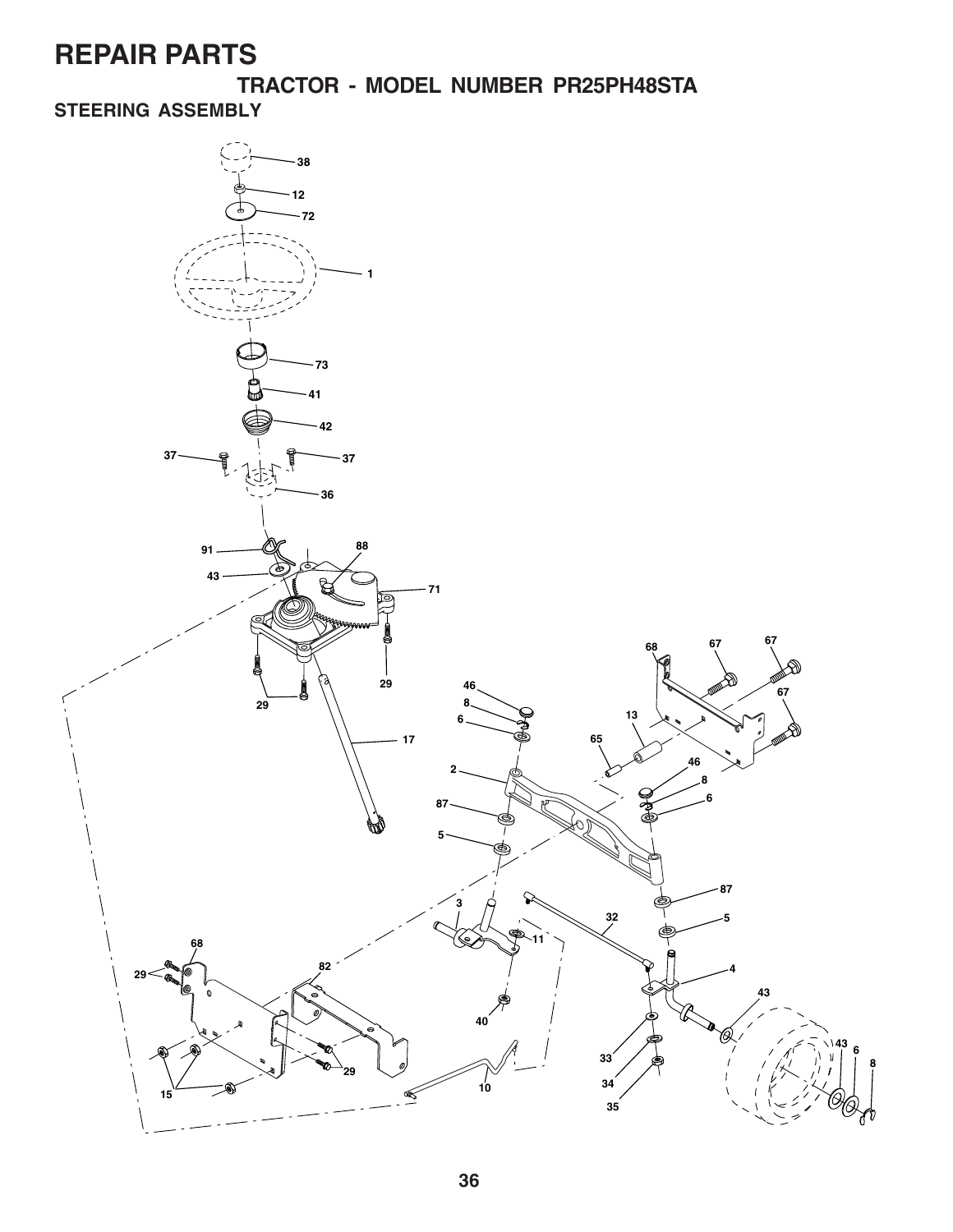**TRACTOR - MODEL NUMBER PR25PH48STA**

### **STEERING ASSEMBLY**

![](_page_7_Figure_3.jpeg)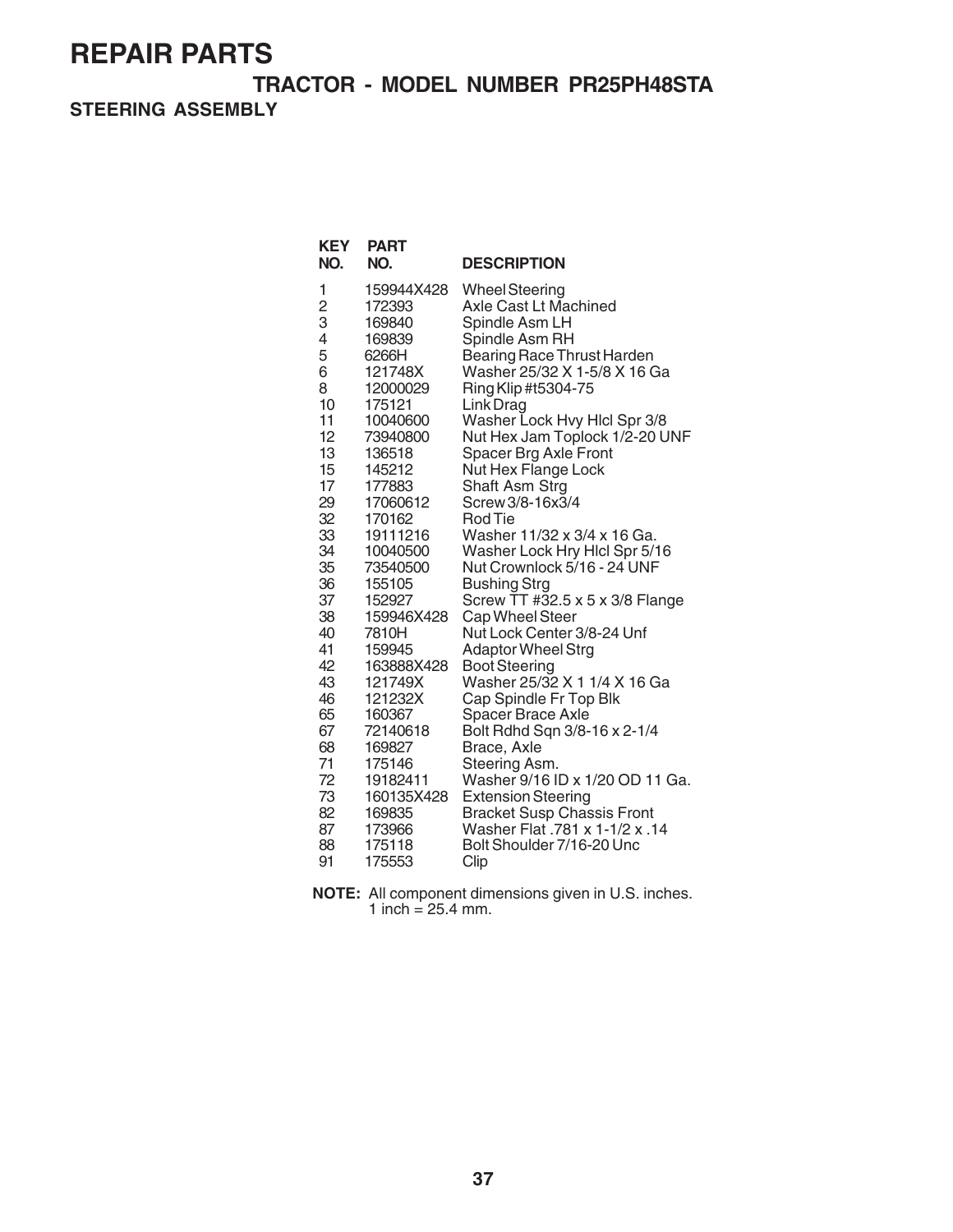**TRACTOR - MODEL NUMBER PR25PH48STA**

**STEERING ASSEMBLY**

| <b>KEY</b><br>NO. | <b>PART</b><br>NO. | <b>DESCRIPTION</b>                                |
|-------------------|--------------------|---------------------------------------------------|
| 1                 | 159944X428         | <b>Wheel Steering</b>                             |
| $\overline{c}$    | 172393             | Axle Cast Lt Machined                             |
| 3                 | 169840             | Spindle Asm LH                                    |
| 4                 | 169839             | Spindle Asm RH                                    |
| 5                 | 6266H              | <b>Bearing Race Thrust Harden</b>                 |
| 6                 | 121748X            | Washer 25/32 X 1-5/8 X 16 Ga                      |
| 8                 | 12000029           | Ring Klip #t5304-75                               |
| 10                | 175121             | Link Drag                                         |
| 11                | 10040600           | Washer Lock Hvy Hlcl Spr 3/8                      |
| 12                | 73940800           | Nut Hex Jam Toplock 1/2-20 UNF                    |
| 13                | 136518             | Spacer Brg Axle Front                             |
| 15                | 145212             | Nut Hex Flange Lock                               |
| 17                | 177883             | Shaft Asm Strg                                    |
| 29                | 17060612           | Screw 3/8-16x3/4                                  |
| 32                | 170162             | Rod Tie                                           |
| 33                | 19111216           | Washer 11/32 x 3/4 x 16 Ga.                       |
| 34                | 10040500           | Washer Lock Hry Hicl Spr 5/16                     |
| 35                | 73540500           | Nut Crownlock 5/16 - 24 UNF                       |
| 36                | 155105             | <b>Bushing Strg</b>                               |
| 37                | 152927             | Screw TT #32.5 x 5 x 3/8 Flange                   |
| 38                | 159946X428         | Cap Wheel Steer                                   |
| 40<br>41          | 7810H<br>159945    | Nut Lock Center 3/8-24 Unf                        |
| 42                | 163888X428         | <b>Adaptor Wheel Strg</b><br><b>Boot Steering</b> |
| 43                | 121749X            | Washer 25/32 X 1 1/4 X 16 Ga                      |
| 46                | 121232X            | Cap Spindle Fr Top Blk                            |
| 65                | 160367             | Spacer Brace Axle                                 |
| 67                | 72140618           | Bolt Rdhd Sqn 3/8-16 x 2-1/4                      |
| 68                | 169827             | Brace, Axle                                       |
| 71                | 175146             | Steering Asm.                                     |
| 72                | 19182411           | Washer 9/16 ID x 1/20 OD 11 Ga.                   |
| 73                | 160135X428         | <b>Extension Steering</b>                         |
| 82                | 169835             | <b>Bracket Susp Chassis Front</b>                 |
| 87                | 173966             | Washer Flat .781 x 1-1/2 x .14                    |
| 88                | 175118             | Bolt Shoulder 7/16-20 Unc                         |
| 91                | 175553             | Clip                                              |

**NOTE:** All component dimensions given in U.S. inches. 1 inch =  $25.4$  mm.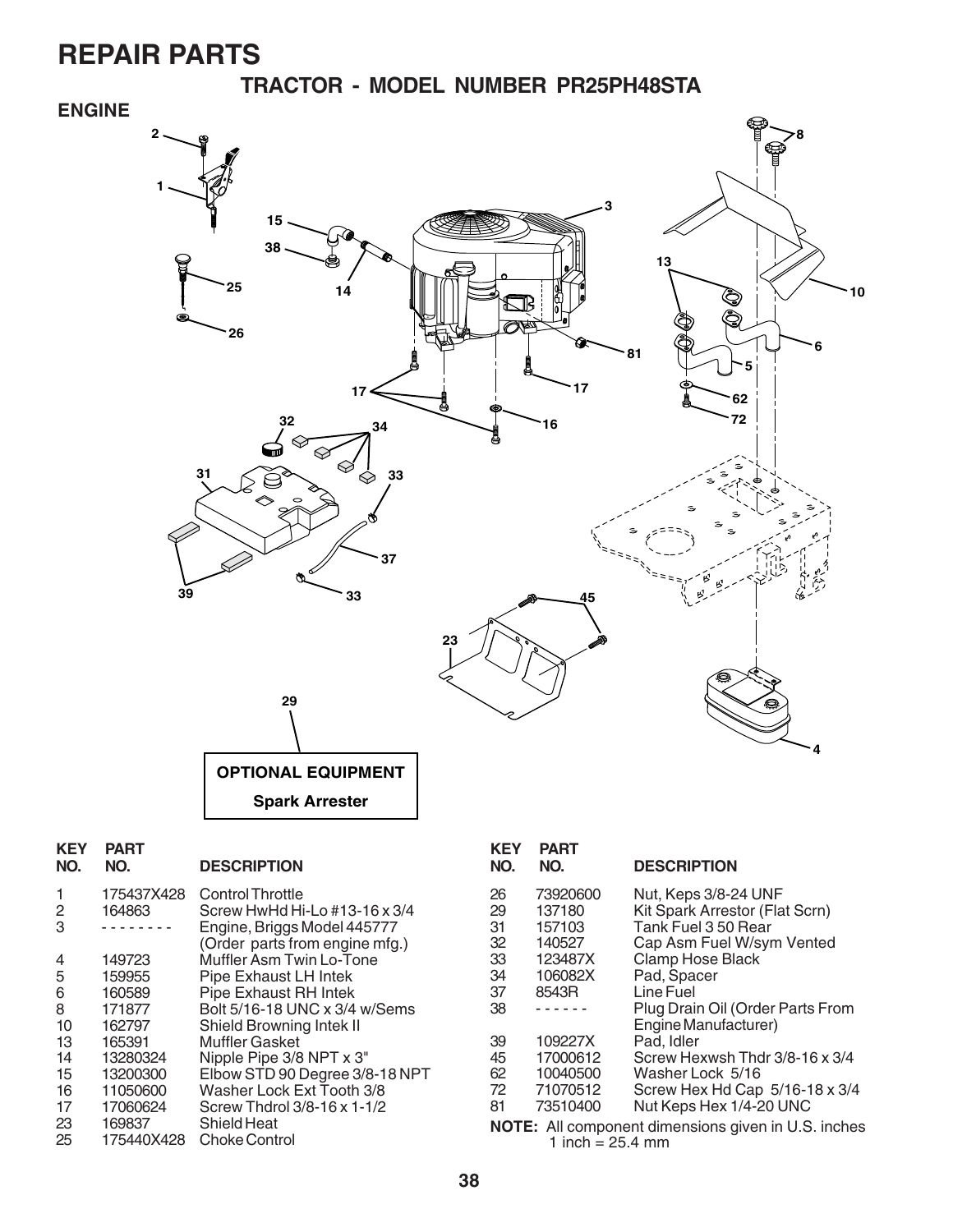**TRACTOR - MODEL NUMBER PR25PH48STA**

#### **ENGINE**

![](_page_9_Figure_3.jpeg)

| <b>KEY</b><br>NO. | <b>PART</b><br>NO. | <b>DESCRIPTION</b>             |
|-------------------|--------------------|--------------------------------|
| 1                 | 175437X428         | Control Throttle               |
| 2                 | 164863             | Screw HwHd Hi-Lo #13-16 x 3/4  |
| 3                 |                    | Engine, Briggs Model 445777    |
|                   |                    | (Order parts from engine mfg.) |
| 4                 | 149723             | Muffler Asm Twin Lo-Tone       |
| 5                 | 159955             | Pipe Exhaust LH Intek          |
| 6                 | 160589             | Pipe Exhaust RH Intek          |
| 8                 | 171877             | Bolt 5/16-18 UNC x 3/4 w/Sems  |
| 10                | 162797             | Shield Browning Intek II       |
| 13                | 165391             | <b>Muffler Gasket</b>          |
| 14                | 13280324           | Nipple Pipe 3/8 NPT x 3"       |
| 15                | 13200300           | Elbow STD 90 Degree 3/8-18 NPT |
| 16                | 11050600           | Washer Lock Ext Tooth 3/8      |
| 17                | 17060624           | Screw Thdrol 3/8-16 x 1-1/2    |
| 23                | 169837             | Shield Heat                    |
| 25                | 175440X428         | <b>Choke Control</b>           |
|                   |                    |                                |

| .<br>NO.                                                                         | .<br>NO. | <b>DESCRIPTION</b>               |
|----------------------------------------------------------------------------------|----------|----------------------------------|
| 26                                                                               | 73920600 | Nut, Keps 3/8-24 UNF             |
| 29                                                                               | 137180   | Kit Spark Arrestor (Flat Scrn)   |
| 31                                                                               | 157103   | Tank Fuel 3 50 Rear              |
| 32                                                                               | 140527   | Cap Asm Fuel W/sym Vented        |
| 33                                                                               | 123487X  | <b>Clamp Hose Black</b>          |
| 34                                                                               | 106082X  | Pad, Spacer                      |
| 37                                                                               | 8543R    | Line Fuel                        |
| 38                                                                               |          | Plug Drain Oil (Order Parts From |
|                                                                                  |          | Engine Manufacturer)             |
| 39                                                                               | 109227X  | Pad. Idler                       |
| 45                                                                               | 17000612 | Screw Hexwsh Thdr 3/8-16 x 3/4   |
| 62                                                                               | 10040500 | Washer Lock 5/16                 |
| 72                                                                               | 71070512 | Screw Hex Hd Cap 5/16-18 x 3/4   |
| 81                                                                               | 73510400 | Nut Keps Hex 1/4-20 UNC          |
| <b>NOTE:</b> All component dimensions given in U.S. inches<br>1 inch = $25.4$ mm |          |                                  |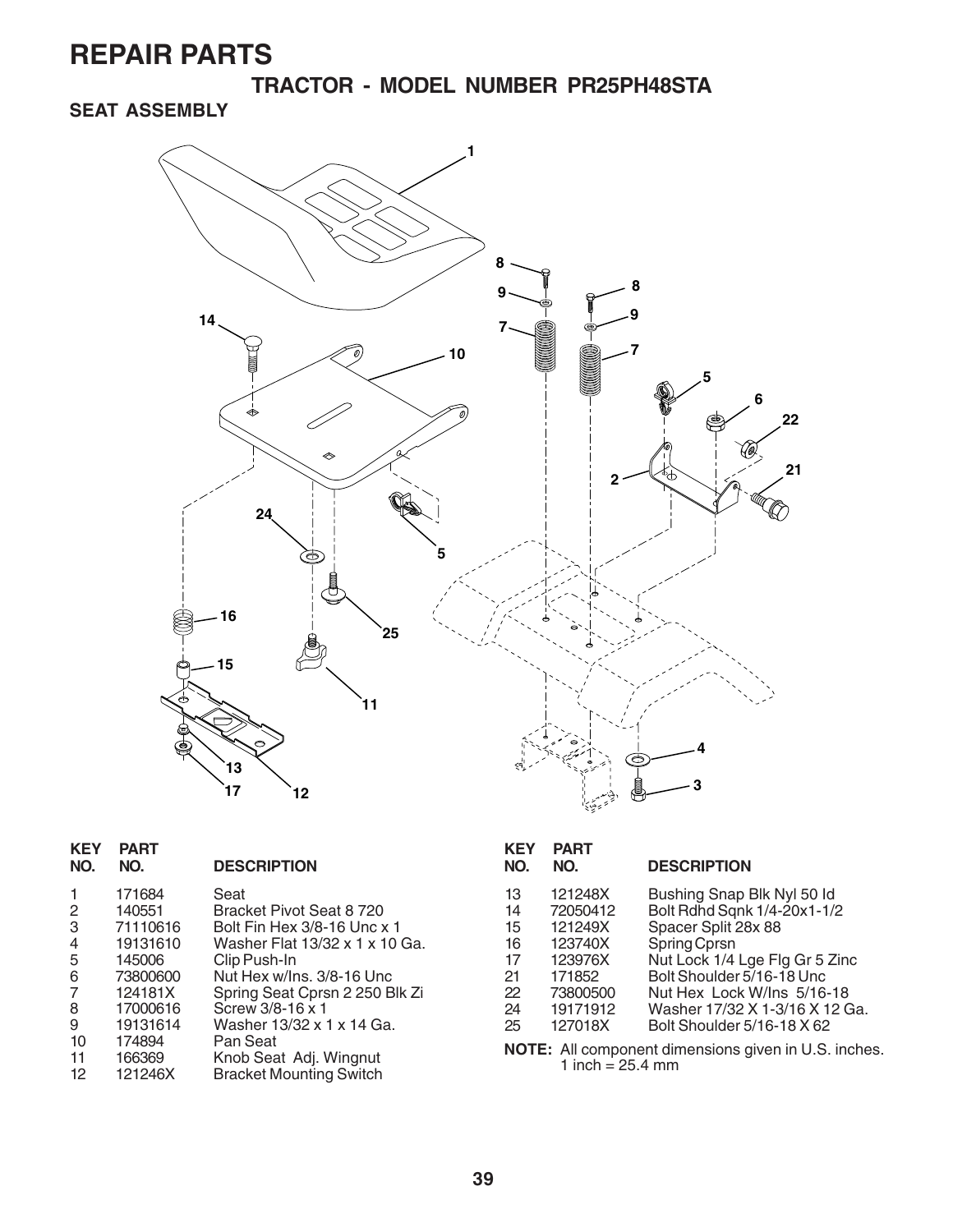**TRACTOR - MODEL NUMBER PR25PH48STA**

### **SEAT ASSEMBLY**

![](_page_10_Figure_3.jpeg)

| <b>KEY</b><br>NO.                                                    | <b>PART</b><br>NO.                                                                                          | <b>DESCRIPTION</b>                                                                                                                                                                                                                           | <b>KEY</b><br>NO.                                  | <b>PART</b><br>NO.                                                                                | <b>DESCRIPTION</b>                                                                                                                                                                                                                                                                                                    |
|----------------------------------------------------------------------|-------------------------------------------------------------------------------------------------------------|----------------------------------------------------------------------------------------------------------------------------------------------------------------------------------------------------------------------------------------------|----------------------------------------------------|---------------------------------------------------------------------------------------------------|-----------------------------------------------------------------------------------------------------------------------------------------------------------------------------------------------------------------------------------------------------------------------------------------------------------------------|
| $\overline{2}$<br>3<br>4<br>5<br>6<br>$\overline{7}$<br>8<br>9<br>10 | 171684<br>140551<br>71110616<br>19131610<br>145006<br>73800600<br>124181X<br>17000616<br>19131614<br>174894 | Seat<br>Bracket Pivot Seat 8720<br>Bolt Fin Hex 3/8-16 Unc x 1<br>Washer Flat 13/32 x 1 x 10 Ga.<br>Clip Push-In<br>Nut Hex w/Ins. 3/8-16 Unc<br>Spring Seat Cprsn 2 250 Blk Zi<br>Screw 3/8-16 x 1<br>Washer 13/32 x 1 x 14 Ga.<br>Pan Seat | 13<br>14<br>15<br>16<br>17<br>21<br>22<br>24<br>25 | 121248X<br>72050412<br>121249X<br>123740X<br>123976X<br>171852<br>73800500<br>19171912<br>127018X | Bushing Snap Blk Nyl 50 ld<br>Bolt Rdhd Sqnk 1/4-20x1-1/2<br>Spacer Split 28x 88<br>Spring Cprsn<br>Nut Lock 1/4 Lge Flg Gr 5 Zinc<br>Bolt Shoulder 5/16-18 Unc<br>Nut Hex Lock W/Ins 5/16-18<br>Washer 17/32 X 1-3/16 X 12 Ga.<br>Bolt Shoulder 5/16-18 X 62<br>NOTE: All component dimensions given in U.S. inches. |
| 11<br>$12 \overline{ }$                                              | 166369<br>121246X                                                                                           | Knob Seat Adj. Wingnut<br><b>Bracket Mounting Switch</b>                                                                                                                                                                                     |                                                    | 1 inch = $25.4$ mm                                                                                |                                                                                                                                                                                                                                                                                                                       |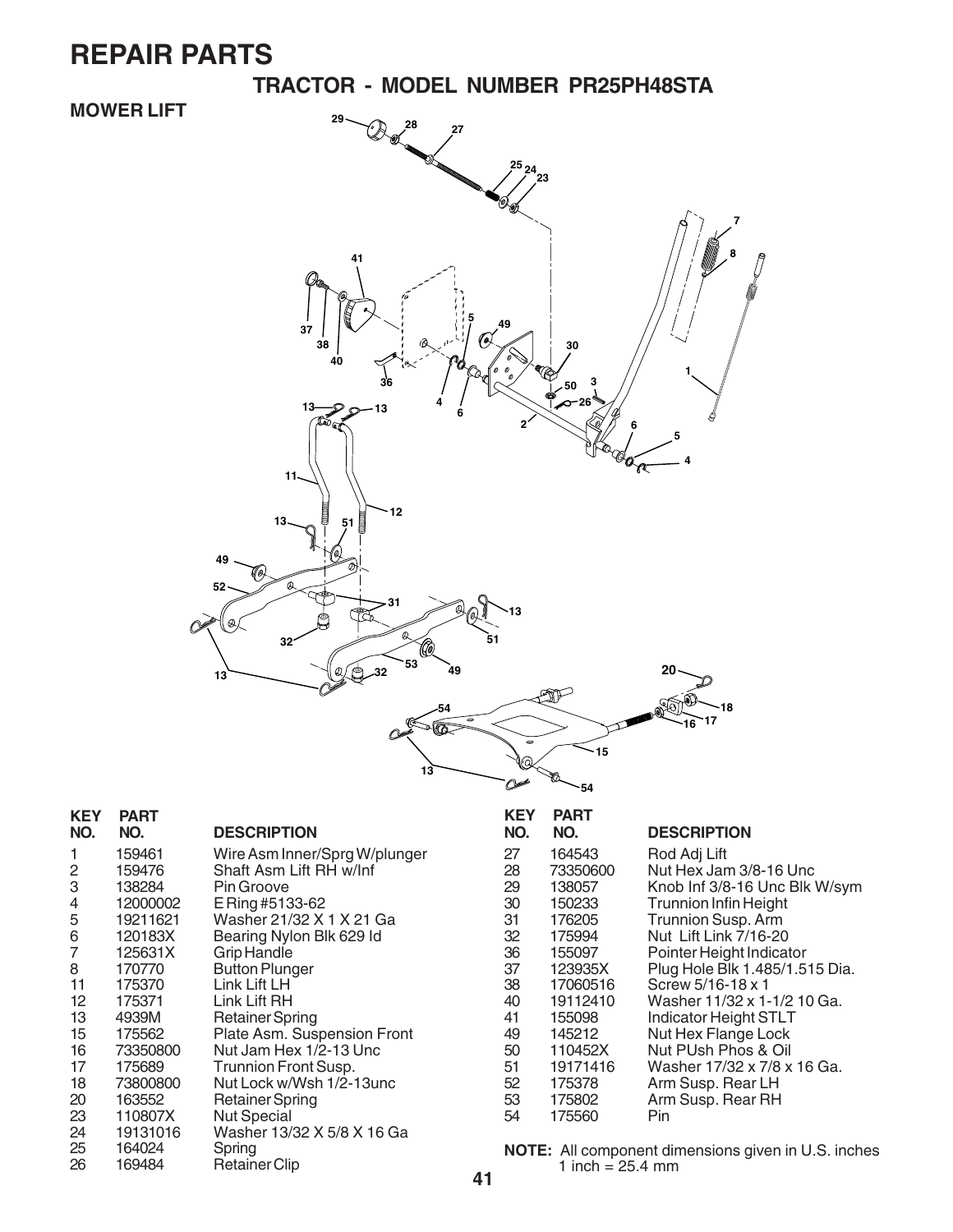**TRACTOR - MODEL NUMBER PR25PH48STA**

### **MOWER LIFT**

![](_page_11_Figure_3.jpeg)

| <b>KEY</b>      | <b>PART</b> |                               |
|-----------------|-------------|-------------------------------|
| NO.             | NO.         | <b>DESCRIPTION</b>            |
| 1               | 159461      | Wire Asm Inner/Sprg W/plunger |
| 2               | 159476      | Shaft Asm Lift RH w/Inf       |
| 3               | 138284      | Pin Groove                    |
| 4               | 12000002    | E Ring #5133-62               |
| 5               | 19211621    | Washer 21/32 X 1 X 21 Ga      |
| 6               | 120183X     | Bearing Nylon Blk 629 Id      |
| $\overline{7}$  | 125631X     | Grip Handle                   |
| 8               | 170770      | <b>Button Plunger</b>         |
| 11              | 175370      | Link Lift LH                  |
| 12 <sup>2</sup> | 175371      | Link Lift RH                  |
| 13              | 4939M       | Retainer Spring               |
| 15              | 175562      | Plate Asm. Suspension Front   |
| 16              | 73350800    | Nut Jam Hex 1/2-13 Unc        |
| 17              | 175689      | Trunnion Front Susp.          |
| 18              | 73800800    | Nut Lock w/Wsh 1/2-13unc      |
| 20              | 163552      | Retainer Spring               |
| 23              | 110807X     | <b>Nut Special</b>            |
| 24              | 19131016    | Washer 13/32 X 5/8 X 16 Ga    |
| 25              | 164024      | Spring                        |
| 26              | 169484      | <b>Retainer Clip</b>          |

| KEY<br>NO. | <b>PART</b><br>NO. | <b>DESCRIPTION</b>             |
|------------|--------------------|--------------------------------|
| 27         | 164543             | Rod Adj Lift                   |
| 28         | 73350600           | Nut Hex Jam 3/8-16 Unc         |
| 29         | 138057             | Knob Inf 3/8-16 Unc Blk W/sym  |
| 30         | 150233             | <b>Trunnion Infin Height</b>   |
| 31         | 176205             | <b>Trunnion Susp. Arm</b>      |
| 32         | 175994             | Nut Lift Link 7/16-20          |
| 36         | 155097             | Pointer Height Indicator       |
| 37         | 123935X            | Plug Hole Blk 1.485/1.515 Dia. |
| 38         | 17060516           | Screw 5/16-18 x 1              |
| 40         | 19112410           | Washer 11/32 x 1-1/2 10 Ga.    |
| 41         | 155098             | Indicator Height STLT          |
| 49         | 145212             | Nut Hex Flange Lock            |
| 50         | 110452X            | Nut PUsh Phos & Oil            |
| 51         | 19171416           | Washer 17/32 x 7/8 x 16 Ga.    |
| 52         | 175378             | Arm Susp. Rear LH              |
| 53         | 175802             | Arm Susp. Rear RH              |
| 54         | 175560             | Pin                            |

**NOTE:** All component dimensions given in U.S. inches 1 inch  $= 25.4$  mm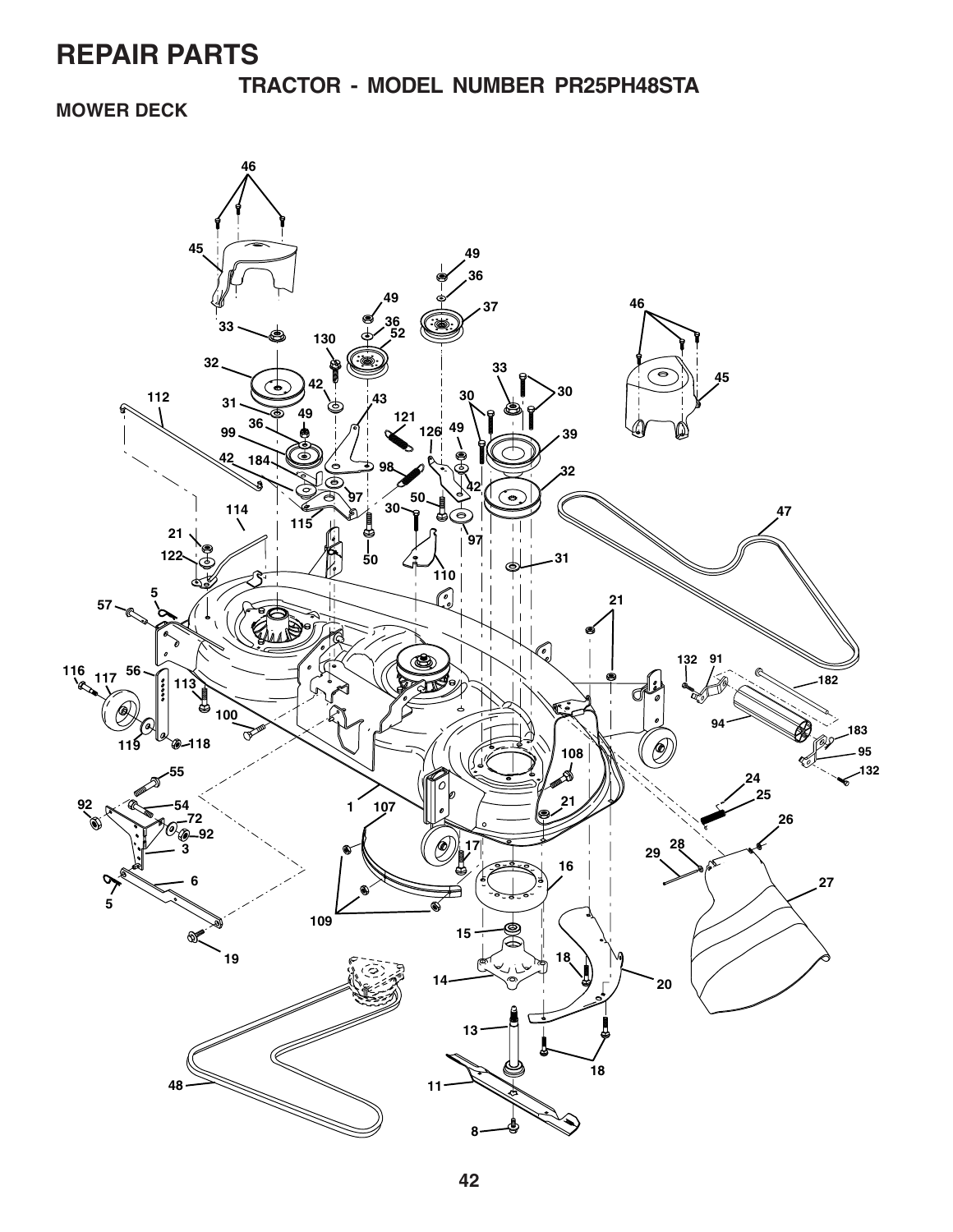**TRACTOR - MODEL NUMBER PR25PH48STA**

**MOWER DECK**

![](_page_12_Figure_3.jpeg)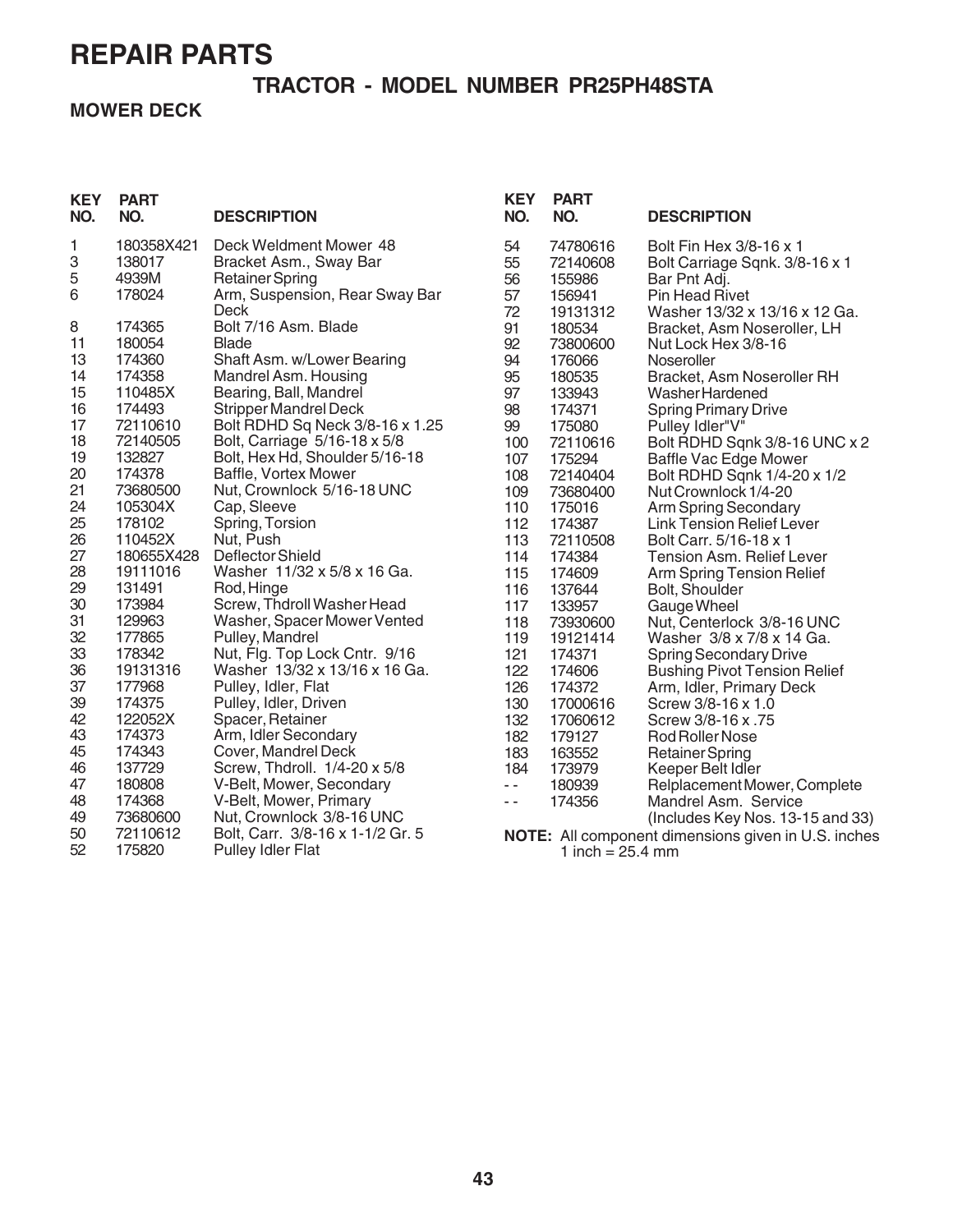### **TRACTOR - MODEL NUMBER PR25PH48STA**

#### **MOWER DECK**

| <b>KEY</b><br>NO. | <b>PART</b><br>NO.   | <b>DESCRIPTION</b>                               | <b>KEY</b><br>NO. | <b>PART</b><br>NO. | <b>DESCRIPTION</b>                                  |
|-------------------|----------------------|--------------------------------------------------|-------------------|--------------------|-----------------------------------------------------|
| 1<br>3            | 180358X421<br>138017 | Deck Weldment Mower 48                           | 54                | 74780616           | Bolt Fin Hex 3/8-16 x 1                             |
| 5                 | 4939M                | Bracket Asm., Sway Bar<br><b>Retainer Spring</b> | 55<br>56          | 72140608<br>155986 | Bolt Carriage Sqnk. 3/8-16 x 1                      |
| 6                 | 178024               | Arm, Suspension, Rear Sway Bar                   | 57                | 156941             | Bar Pnt Adj.<br><b>Pin Head Rivet</b>               |
|                   |                      | Deck                                             | 72                | 19131312           | Washer 13/32 x 13/16 x 12 Ga.                       |
| 8                 | 174365               | Bolt 7/16 Asm. Blade                             | 91                | 180534             | Bracket, Asm Noseroller, LH                         |
| 11                | 180054               | <b>Blade</b>                                     | 92                | 73800600           | Nut Lock Hex 3/8-16                                 |
| 13                | 174360               | Shaft Asm. w/Lower Bearing                       | 94                | 176066             | Noseroller                                          |
| 14                | 174358               | Mandrel Asm. Housing                             | 95                | 180535             | Bracket, Asm Noseroller RH                          |
| 15                | 110485X              | Bearing, Ball, Mandrel                           | 97                | 133943             | Washer Hardened                                     |
| 16                | 174493               | <b>Stripper Mandrel Deck</b>                     | 98                | 174371             | <b>Spring Primary Drive</b>                         |
| 17                | 72110610             | Bolt RDHD Sq Neck 3/8-16 x 1.25                  | 99                | 175080             | Pulley Idler"V"                                     |
| 18                | 72140505             | Bolt, Carriage 5/16-18 x 5/8                     | 100               | 72110616           | Bolt RDHD Sqnk 3/8-16 UNC x 2                       |
| 19                | 132827               | Bolt, Hex Hd, Shoulder 5/16-18                   | 107               | 175294             | Baffle Vac Edge Mower                               |
| 20                | 174378               | Baffle, Vortex Mower                             | 108               | 72140404           | Bolt RDHD Sqnk 1/4-20 x 1/2                         |
| 21                | 73680500             | Nut, Crownlock 5/16-18 UNC                       | 109               | 73680400           | Nut Crownlock 1/4-20                                |
| 24                | 105304X              | Cap, Sleeve                                      | 110               | 175016             | Arm Spring Secondary                                |
| 25                | 178102               | Spring, Torsion                                  | 112               | 174387             | Link Tension Relief Lever                           |
| 26                | 110452X              | Nut, Push                                        | 113               | 72110508           | Bolt Carr. 5/16-18 x 1                              |
| 27                | 180655X428           | Deflector Shield                                 | 114               | 174384             | <b>Tension Asm. Relief Lever</b>                    |
| 28                | 19111016             | Washer 11/32 x 5/8 x 16 Ga.                      | 115               | 174609             | <b>Arm Spring Tension Relief</b>                    |
| 29                | 131491               | Rod, Hinge                                       | 116               | 137644             | Bolt, Shoulder                                      |
| 30                | 173984               | Screw, Thdroll Washer Head                       | 117               | 133957             | Gauge Wheel                                         |
| 31                | 129963               | Washer, Spacer Mower Vented                      | 118               | 73930600           | Nut, Centerlock 3/8-16 UNC                          |
| 32                | 177865               | Pulley, Mandrel                                  | 119               | 19121414           | Washer 3/8 x 7/8 x 14 Ga.                           |
| 33                | 178342               | Nut, Flg. Top Lock Cntr. 9/16                    | 121               | 174371             | <b>Spring Secondary Drive</b>                       |
| 36                | 19131316             | Washer 13/32 x 13/16 x 16 Ga.                    | 122               | 174606             | <b>Bushing Pivot Tension Relief</b>                 |
| 37                | 177968               | Pulley, Idler, Flat                              | 126               | 174372             | Arm, Idler, Primary Deck                            |
| 39                | 174375               | Pulley, Idler, Driven                            | 130               | 17000616           | Screw 3/8-16 x 1.0                                  |
| 42                | 122052X              | Spacer, Retainer                                 | 132               | 17060612           | Screw 3/8-16 x .75                                  |
| 43                | 174373               | Arm, Idler Secondary                             | 182               | 179127             | Rod Roller Nose                                     |
| 45                | 174343               | Cover, Mandrel Deck                              | 183               | 163552             | <b>Retainer Spring</b>                              |
| 46                | 137729               | Screw, Thdroll. 1/4-20 x 5/8                     | 184               | 173979             | Keeper Belt Idler                                   |
| 47                | 180808               | V-Belt, Mower, Secondary                         | $\sim$ $-$        | 180939             | Relplacement Mower, Complete                        |
| 48                | 174368               | V-Belt, Mower, Primary                           | $\sim$            | 174356             | Mandrel Asm. Service                                |
| 49                | 73680600             | Nut, Crownlock 3/8-16 UNC                        |                   |                    | (Includes Key Nos. 13-15 and 33)                    |
| 50<br>52          | 72110612             | Bolt, Carr. 3/8-16 x 1-1/2 Gr. 5                 |                   |                    | NOTE: All component dimensions given in U.S. inches |
|                   | 175820               | <b>Pulley Idler Flat</b>                         |                   | 1 inch = $25.4$ mm |                                                     |